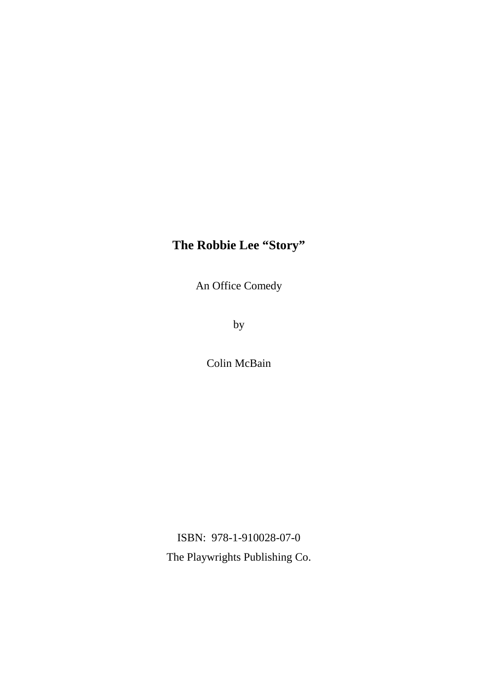An Office Comedy

by

Colin McBain

ISBN: 978-1-910028-07-0 The Playwrights Publishing Co.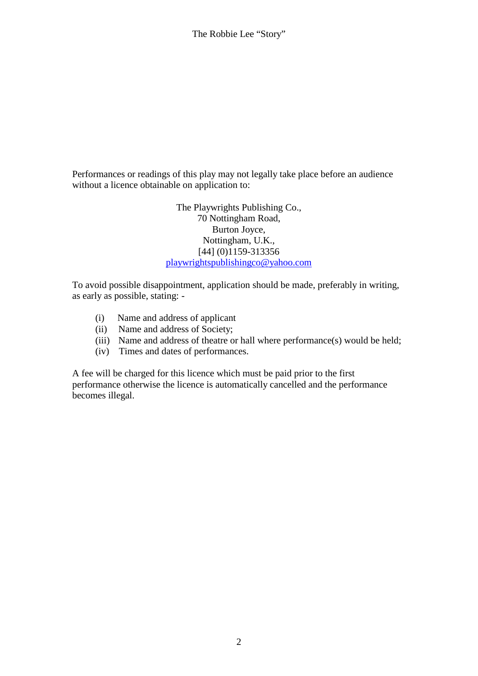Performances or readings of this play may not legally take place before an audience without a licence obtainable on application to:

> The Playwrights Publishing Co., 70 Nottingham Road, Burton Joyce, Nottingham, U.K., [44] (0)1159-313356 playwrightspublishingco@yahoo.com

To avoid possible disappointment, application should be made, preferably in writing, as early as possible, stating: -

- (i) Name and address of applicant
- (ii) Name and address of Society;
- (iii) Name and address of theatre or hall where performance(s) would be held;
- (iv) Times and dates of performances.

A fee will be charged for this licence which must be paid prior to the first performance otherwise the licence is automatically cancelled and the performance becomes illegal.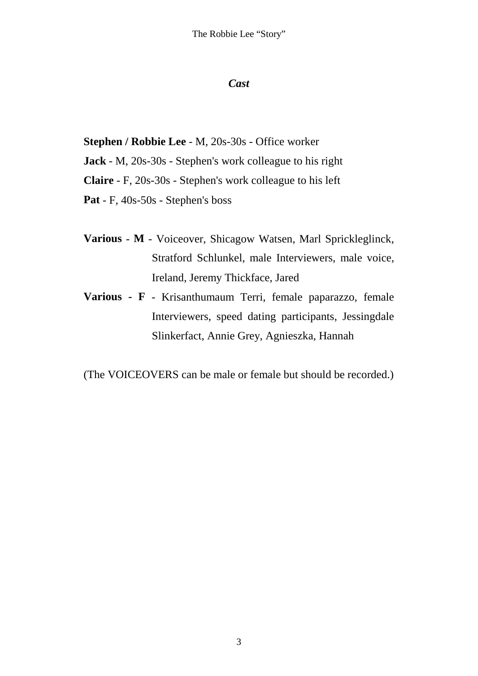### *Cast*

**Stephen / Robbie Lee** - M, 20s-30s - Office worker

**Jack** - M, 20s-30s - Stephen's work colleague to his right

**Claire** - F, 20s-30s - Stephen's work colleague to his left

**Pat** - F, 40s-50s - Stephen's boss

- **Various M** Voiceover, Shicagow Watsen, Marl Sprickleglinck, Stratford Schlunkel, male Interviewers, male voice, Ireland, Jeremy Thickface, Jared
- **Various F** Krisanthumaum Terri, female paparazzo, female Interviewers, speed dating participants, Jessingdale Slinkerfact, Annie Grey, Agnieszka, Hannah

(The VOICEOVERS can be male or female but should be recorded.)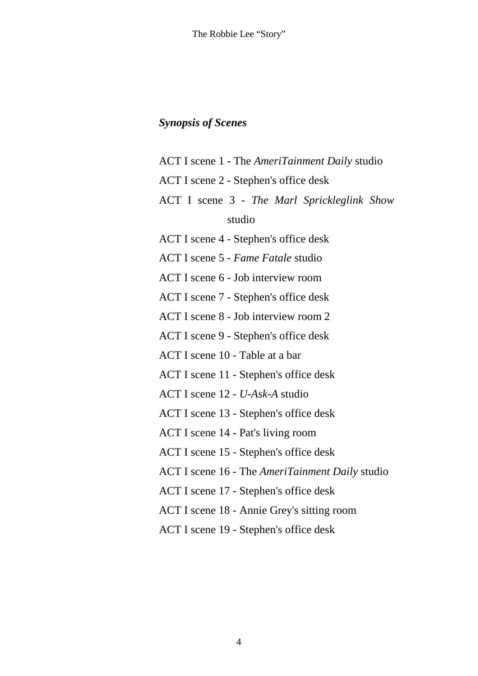# *Synopsis of Scenes*

ACT I scene 1 - The *AmeriTainment Daily* studio ACT I scene 2 - Stephen's office desk ACT I scene 3 - *The Marl Sprickleglink Show* studio ACT I scene 4 - Stephen's office desk ACT I scene 5 - *Fame Fatale* studio ACT I scene 6 - Job interview room ACT I scene 7 - Stephen's office desk ACT I scene 8 - Job interview room 2 ACT I scene 9 - Stephen's office desk ACT I scene 10 - Table at a bar ACT I scene 11 - Stephen's office desk ACT I scene 12 - *U-Ask-A* studio ACT I scene 13 - Stephen's office desk ACT I scene 14 - Pat's living room ACT I scene 15 - Stephen's office desk ACT I scene 16 - The *AmeriTainment Daily* studio ACT I scene 17 - Stephen's office desk ACT I scene 18 - Annie Grey's sitting room ACT I scene 19 - Stephen's office desk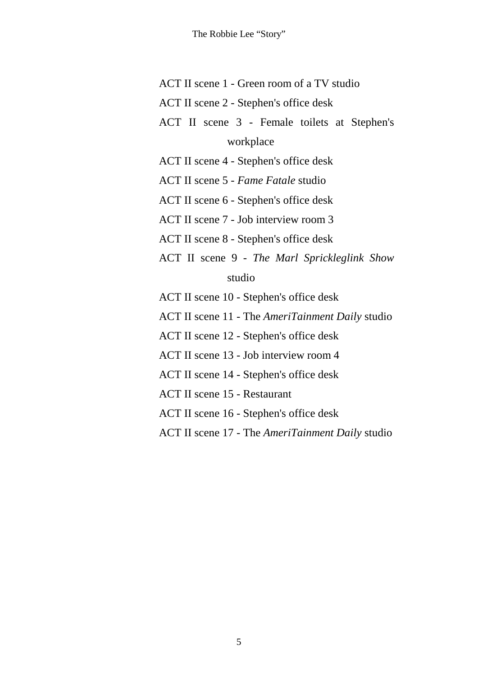- ACT II scene 1 Green room of a TV studio
- ACT II scene 2 Stephen's office desk
- ACT II scene 3 Female toilets at Stephen's workplace
- ACT II scene 4 Stephen's office desk
- ACT II scene 5 *Fame Fatale* studio
- ACT II scene 6 Stephen's office desk
- ACT II scene 7 Job interview room 3
- ACT II scene 8 Stephen's office desk
- ACT II scene 9 *The Marl Sprickleglink Show* studio
- ACT II scene 10 Stephen's office desk
- ACT II scene 11 The *AmeriTainment Daily* studio
- ACT II scene 12 Stephen's office desk
- ACT II scene 13 Job interview room 4
- ACT II scene 14 Stephen's office desk
- ACT II scene 15 Restaurant
- ACT II scene 16 Stephen's office desk
- ACT II scene 17 The *AmeriTainment Daily* studio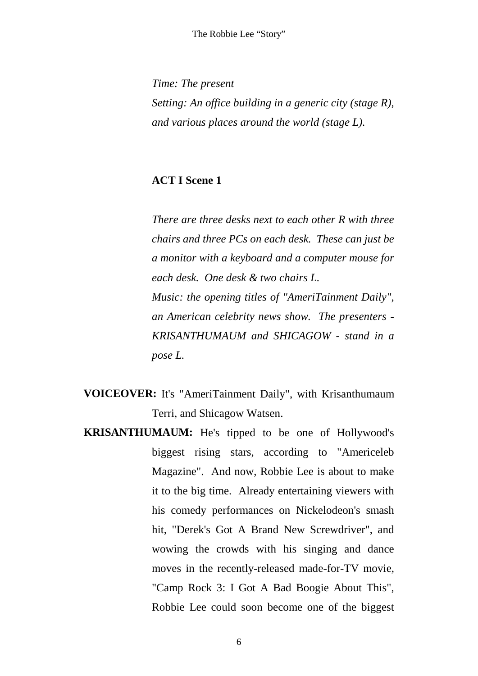*Time: The present Setting: An office building in a generic city (stage R), and various places around the world (stage L).*

## **ACT I Scene 1**

*There are three desks next to each other R with three chairs and three PCs on each desk. These can just be a monitor with a keyboard and a computer mouse for each desk. One desk & two chairs L. Music: the opening titles of "AmeriTainment Daily", an American celebrity news show. The presenters - KRISANTHUMAUM and SHICAGOW - stand in a pose L.*

- **VOICEOVER:** It's "AmeriTainment Daily", with Krisanthumaum Terri, and Shicagow Watsen.
- **KRISANTHUMAUM:** He's tipped to be one of Hollywood's biggest rising stars, according to "Americeleb Magazine". And now, Robbie Lee is about to make it to the big time. Already entertaining viewers with his comedy performances on Nickelodeon's smash hit, "Derek's Got A Brand New Screwdriver", and wowing the crowds with his singing and dance moves in the recently-released made-for-TV movie, "Camp Rock 3: I Got A Bad Boogie About This", Robbie Lee could soon become one of the biggest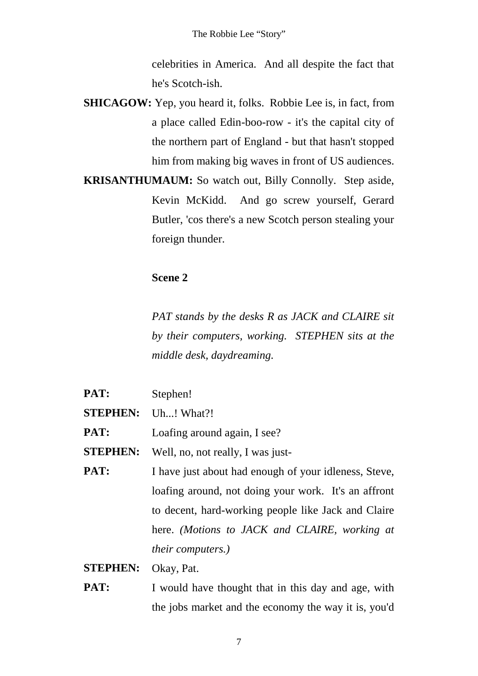celebrities in America. And all despite the fact that he's Scotch-ish.

- **SHICAGOW:** Yep, you heard it, folks. Robbie Lee is, in fact, from a place called Edin-boo-row - it's the capital city of the northern part of England - but that hasn't stopped him from making big waves in front of US audiences.
- **KRISANTHUMAUM:** So watch out, Billy Connolly. Step aside, Kevin McKidd. And go screw yourself, Gerard Butler, 'cos there's a new Scotch person stealing your foreign thunder.

# **Scene 2**

*PAT stands by the desks R as JACK and CLAIRE sit by their computers, working. STEPHEN sits at the middle desk, daydreaming.*

- **PAT:** Stephen!
- **STEPHEN:** Uh...! What?!
- **PAT:** Loafing around again, I see?
- **STEPHEN:** Well, no, not really, I was just-
- **PAT:** I have just about had enough of your idleness, Steve, loafing around, not doing your work. It's an affront to decent, hard-working people like Jack and Claire here. *(Motions to JACK and CLAIRE, working at their computers.)*
- **STEPHEN:** Okay, Pat.
- **PAT:** I would have thought that in this day and age, with the jobs market and the economy the way it is, you'd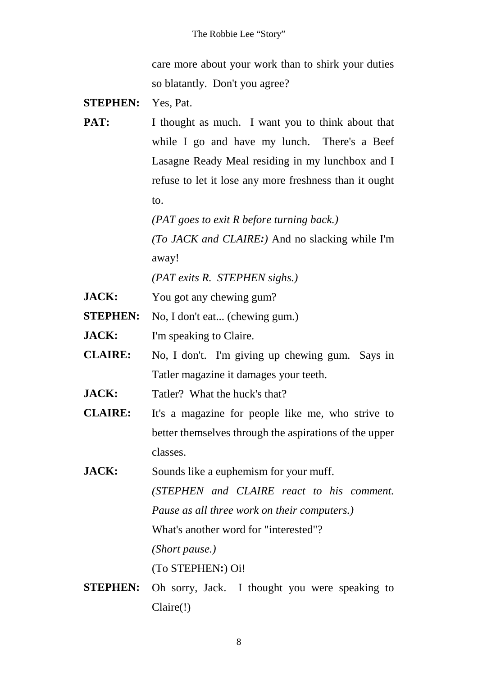care more about your work than to shirk your duties so blatantly. Don't you agree?

- **STEPHEN:** Yes, Pat.
- **PAT:** I thought as much. I want you to think about that while I go and have my lunch. There's a Beef Lasagne Ready Meal residing in my lunchbox and I refuse to let it lose any more freshness than it ought to.

*(PAT goes to exit R before turning back.) (To JACK and CLAIRE:)* And no slacking while I'm away!

*(PAT exits R. STEPHEN sighs.)*

- **JACK:** You got any chewing gum?
- **STEPHEN:** No, I don't eat... (chewing gum.)

**JACK:** I'm speaking to Claire.

- **CLAIRE:** No, I don't. I'm giving up chewing gum. Says in Tatler magazine it damages your teeth.
- **JACK:** Tatler? What the huck's that?
- **CLAIRE:** It's a magazine for people like me, who strive to better themselves through the aspirations of the upper classes.

**JACK:** Sounds like a euphemism for your muff. *(STEPHEN and CLAIRE react to his comment. Pause as all three work on their computers.)* What's another word for "interested"? *(Short pause.)* (To STEPHEN**:**) Oi!

**STEPHEN:** Oh sorry, Jack. I thought you were speaking to Claire(!)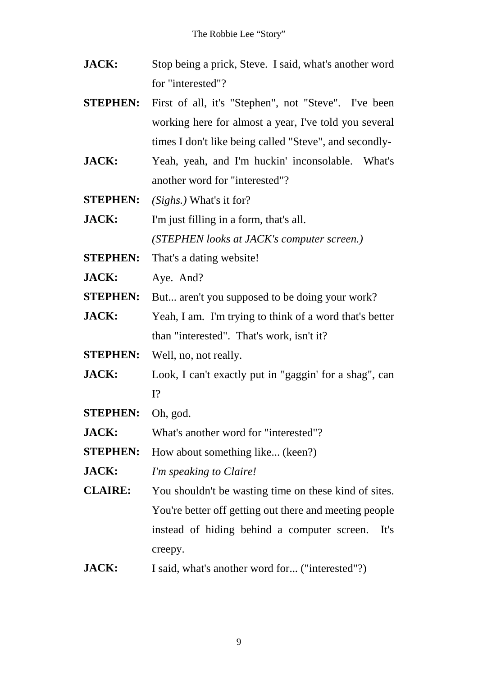- **JACK:** Stop being a prick, Steve. I said, what's another word for "interested"?
- **STEPHEN:** First of all, it's "Stephen", not "Steve". I've been working here for almost a year, I've told you several times I don't like being called "Steve", and secondly-
- **JACK:** Yeah, yeah, and I'm huckin' inconsolable. What's another word for "interested"?
- **STEPHEN:** *(Sighs.)* What's it for?
- **JACK:** I'm just filling in a form, that's all. *(STEPHEN looks at JACK's computer screen.)*
- **STEPHEN:** That's a dating website!
- **JACK:** Ave. And?
- **STEPHEN:** But... aren't you supposed to be doing your work?
- **JACK:** Yeah, I am. I'm trying to think of a word that's better than "interested". That's work, isn't it?
- **STEPHEN:** Well, no, not really.
- **JACK:** Look, I can't exactly put in "gaggin' for a shag", can I?
- **STEPHEN:** Oh, god.

**JACK:** What's another word for "interested"?

**STEPHEN:** How about something like... (keen?)

**JACK:** *I'm speaking to Claire!*

**CLAIRE:** You shouldn't be wasting time on these kind of sites. You're better off getting out there and meeting people instead of hiding behind a computer screen. It's creepy.

**JACK:** I said, what's another word for... ("interested"?)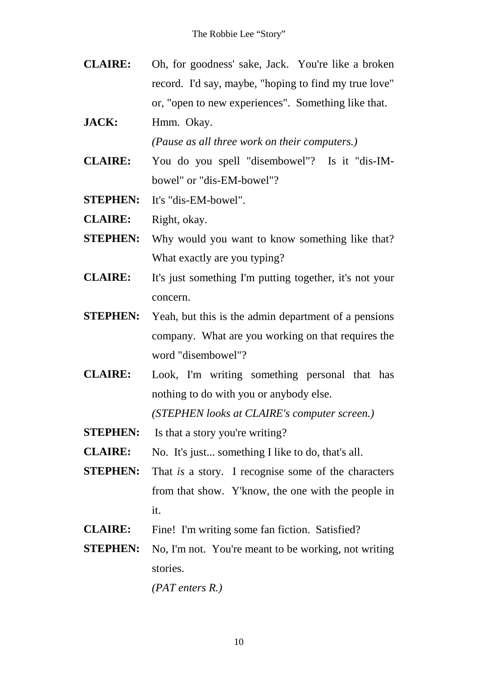- **CLAIRE:** Oh, for goodness' sake, Jack. You're like a broken record. I'd say, maybe, "hoping to find my true love" or, "open to new experiences". Something like that.
- **JACK:** Hmm. Okay.

*(Pause as all three work on their computers.)*

- **CLAIRE:** You do you spell "disembowel"? Is it "dis-IM bowel" or "dis-EM-bowel"?
- **STEPHEN:** It's "dis-EM-bowel".
- **CLAIRE:** Right, okay.
- **STEPHEN:** Why would you want to know something like that? What exactly are you typing?
- **CLAIRE:** It's just something I'm putting together, it's not your concern.
- **STEPHEN:** Yeah, but this is the admin department of a pensions company. What are you working on that requires the word "disembowel"?
- **CLAIRE:** Look, I'm writing something personal that has nothing to do with you or anybody else.

*(STEPHEN looks at CLAIRE's computer screen.)*

- **STEPHEN:** Is that a story you're writing?
- **CLAIRE:** No. It's just... something I like to do, that's all.
- **STEPHEN:** That *is* a story. I recognise some of the characters from that show. Y'know, the one with the people in it.
- **CLAIRE:** Fine! I'm writing some fan fiction. Satisfied?
- **STEPHEN:** No, I'm not. You're meant to be working, not writing stories.

*(PAT enters R.)*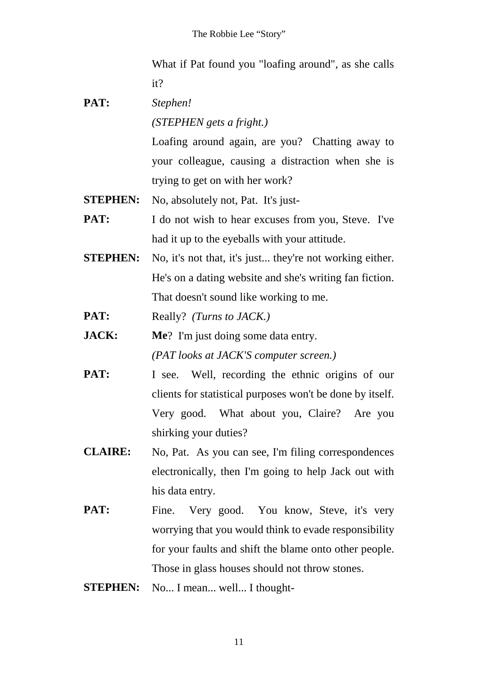What if Pat found you "loafing around", as she calls it?

**PAT:** *Stephen!*

*(STEPHEN gets a fright.)*

Loafing around again, are you? Chatting away to your colleague, causing a distraction when she is trying to get on with her work?

- **STEPHEN:** No, absolutely not, Pat. It's just-
- **PAT:** I do not wish to hear excuses from you, Steve. I've had it up to the eyeballs with your attitude.
- **STEPHEN:** No, it's not that, it's just... they're not working either. He's on a dating website and she's writing fan fiction. That doesn't sound like working to me.
- **PAT:** Really? *(Turns to JACK.)*
- **JACK: Me**? I'm just doing some data entry. *(PAT looks at JACK'S computer screen.)*
- **PAT:** I see. Well, recording the ethnic origins of our clients for statistical purposes won't be done by itself. Very good. What about you, Claire? Are you shirking your duties?
- **CLAIRE:** No, Pat. As you can see, I'm filing correspondences electronically, then I'm going to help Jack out with his data entry.
- **PAT:** Fine. Very good. You know, Steve, it's very worrying that you would think to evade responsibility for your faults and shift the blame onto other people. Those in glass houses should not throw stones.
- **STEPHEN:** No... I mean... well... I thought-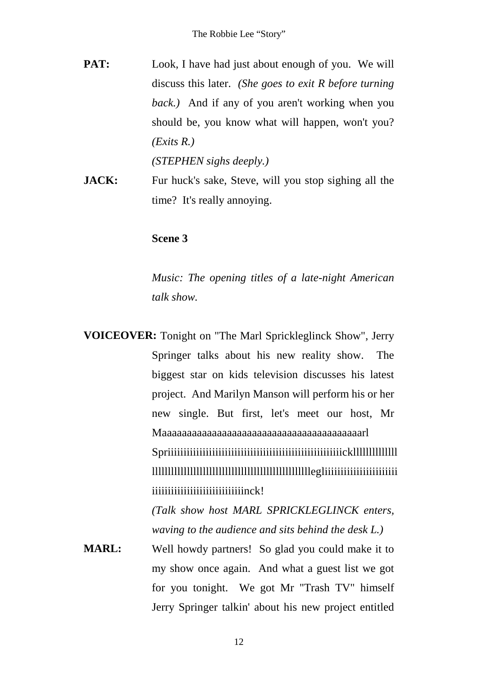- **PAT:** Look, I have had just about enough of you. We will discuss this later. *(She goes to exit R before turning back.)* And if any of you aren't working when you should be, you know what will happen, won't you? *(Exits R.) (STEPHEN sighs deeply.)*
- **JACK:** Fur huck's sake, Steve, will you stop sighing all the time? It's really annoying.

#### **Scene 3**

*Music: The opening titles of a late-night American talk show.*

**VOICEOVER:** Tonight on "The Marl Sprickleglinck Show", Jerry Springer talks about his new reality show. The biggest star on kids television discusses his latest project. And Marilyn Manson will perform his or her new single. But first, let's meet our host, Mr Maaaaaaaaaaaaaaaaaaaaaaaaaaaaaaaaaaaaaaaarl Spriiiiiiiiiiiiiiiiiiiiiiiiiiiiiiiiiiiiiiiiiiiiiiiiiiiiiiickllllllllllllll llllllllllllllllllllllllllllllllllllllllllllllllllegliiiiiiiiiiiiiiiiiiiiiii iiiiiiiiiiiiiiiiiiiiiiiinck!

*(Talk show host MARL SPRICKLEGLINCK enters, waving to the audience and sits behind the desk L.)*

**MARL:** Well howdy partners! So glad you could make it to my show once again. And what a guest list we got for you tonight. We got Mr "Trash TV" himself Jerry Springer talkin' about his new project entitled

12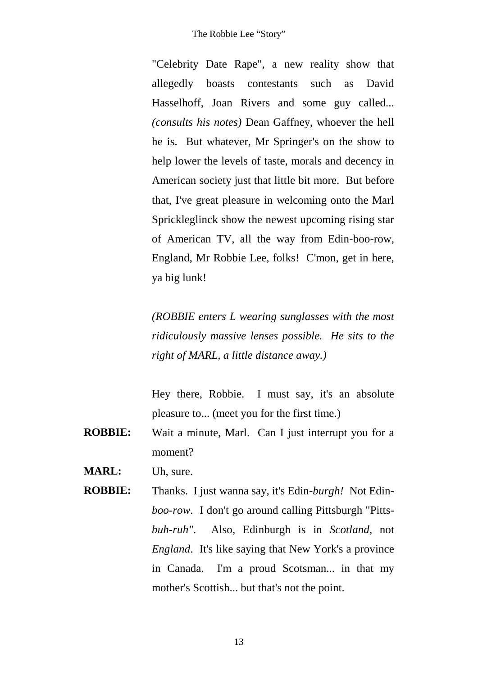"Celebrity Date Rape", a new reality show that allegedly boasts contestants such as David Hasselhoff, Joan Rivers and some guy called... *(consults his notes)* Dean Gaffney, whoever the hell he is. But whatever, Mr Springer's on the show to help lower the levels of taste, morals and decency in American society just that little bit more. But before that, I've great pleasure in welcoming onto the Marl Sprickleglinck show the newest upcoming rising star of American TV, all the way from Edin-boo-row, England, Mr Robbie Lee, folks! C'mon, get in here, ya big lunk!

*(ROBBIE enters L wearing sunglasses with the most ridiculously massive lenses possible. He sits to the right of MARL, a little distance away.)*

Hey there, Robbie. I must say, it's an absolute pleasure to... (meet you for the first time.)

- **ROBBIE:** Wait a minute, Marl. Can I just interrupt you for a moment?
- **MARL:** Uh, sure.
- **ROBBIE:** Thanks. I just wanna say, it's Edin-*burgh!* Not Edin *boo-row*. I don't go around calling Pittsburgh "Pitts *buh-ruh"*. Also, Edinburgh is in *Scotland*, not *England*. It's like saying that New York's a province in Canada. I'm a proud Scotsman... in that my mother's Scottish... but that's not the point.